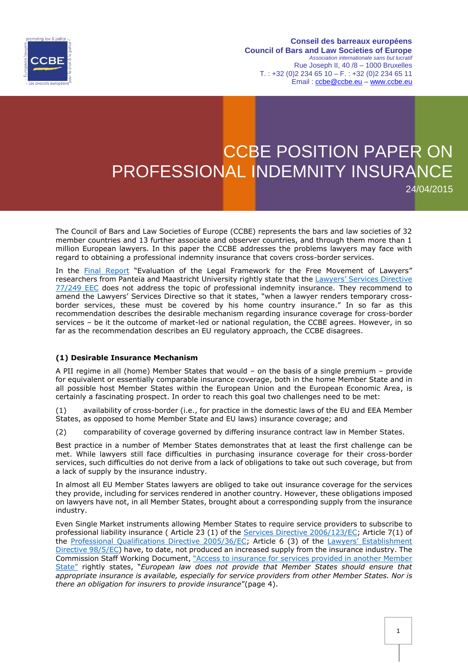

**Conseil des barreaux européens Council of Bars and Law Societies of Europe** *Association internationale sans but lucratif* Rue Joseph II, 40 /8 – 1000 Bruxelles  $T. : +32 (0)2 234 65 10 - F. : +32 (0)2 234 65 11$ Email : [ccbe@ccbe.eu](mailto:ccbe@ccbe.eu) – www.ccbe.eu

## CCBE POSITION PAPER ON PROFESSIONAL INDEMNITY INSURANCE 24/04/2015

The Council of Bars and Law Societies of Europe (CCBE) represents the bars and law societies of 32 member countries and 13 further associate and observer countries, and through them more than 1 million European lawyers. In this paper the CCBE addresses the problems lawyers may face with regard to obtaining a professional indemnity insurance that covers cross-border services.

In the [Final Report](http://ec.europa.eu/internal_market/qualifications/docs/studies/2013-lawyers/report_en.pdf) "Evaluation of the Legal Framework for the Free Movement of Lawyers" researchers from Panteia and Maastricht University rightly state that the Lawyers' Services Directive [77/249 EEC](http://eur-lex.europa.eu/LexUriServ/LexUriServ.do?uri=CONSLEG:1977L0249:20070101:EN:PDF) does not address the topic of professional indemnity insurance. They recommend to amend the Lawyers' Services Directive so that it states, "when a lawyer renders temporary crossborder services, these must be covered by his home country insurance." In so far as this recommendation describes the desirable mechanism regarding insurance coverage for cross-border services – be it the outcome of market-led or national regulation, the CCBE agrees. However, in so far as the recommendation describes an EU regulatory approach, the CCBE disagrees.

## **(1) Desirable Insurance Mechanism**

A PII regime in all (home) Member States that would – on the basis of a single premium – provide for equivalent or essentially comparable insurance coverage, both in the home Member State and in all possible host Member States within the European Union and the European Economic Area, is certainly a fascinating prospect. In order to reach this goal two challenges need to be met:

(1) availability of cross-border (i.e., for practice in the domestic laws of the EU and EEA Member States, as opposed to home Member State and EU laws) insurance coverage; and

(2) comparability of coverage governed by differing insurance contract law in Member States.

Best practice in a number of Member States demonstrates that at least the first challenge can be met. While lawyers still face difficulties in purchasing insurance coverage for their cross-border services, such difficulties do not derive from a lack of obligations to take out such coverage, but from a lack of supply by the insurance industry.

In almost all EU Member States lawyers are obliged to take out insurance coverage for the services they provide, including for services rendered in another country. However, these obligations imposed on lawyers have not, in all Member States, brought about a corresponding supply from the insurance industry.

Even Single Market instruments allowing Member States to require service providers to subscribe to professional liability insurance ( Article 23 (1) of the Services [Directive 2006/123/EC;](http://eur-lex.europa.eu/legal-content/EN/TXT/PDF/?uri=CELEX:32006L0123&from=EN) Article 7(1) of the [Professional Qualifications Directive 2005/36/EC;](http://eur-lex.europa.eu/legal-content/EN/TXT/PDF/?uri=CELEX:02005L0036-20140117&from=EN) Article 6 (3) of the Lawyers' Establishment [Directive 98/5/EC\)](http://eur-lex.europa.eu/legal-content/EN/TXT/PDF/?uri=CELEX:31998L0005&from=EN) have, to date, not produced an increased supply from the insurance industry. The Commission Staff Working Document, "Access to insurance [for services provided in another Member](http://ec.europa.eu/internal_market/services/docs/services-dir/implementation/140331-staff-working-document-access-to-insurance_en.pdf)  [State](http://ec.europa.eu/internal_market/services/docs/services-dir/implementation/140331-staff-working-document-access-to-insurance_en.pdf)" rightly states, "*European law does not provide that Member States should ensure that appropriate insurance is available, especially for service providers from other Member States. Nor is there an obligation for insurers to provide insurance*"(page 4).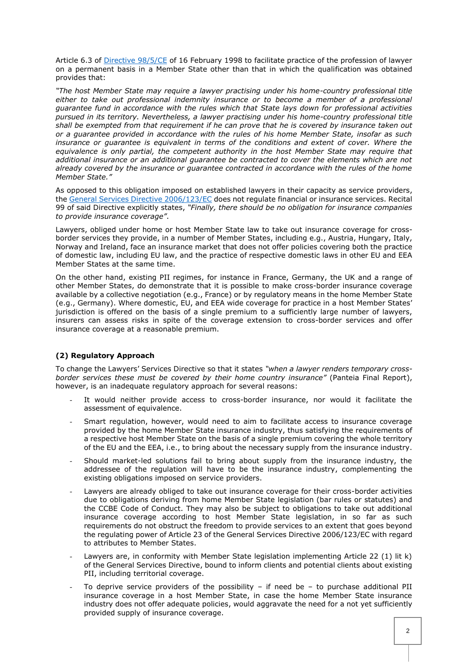Article 6.3 of [Directive 98/5/CE](http://eur-lex.europa.eu/legal-content/EN/TXT/PDF/?uri=CELEX:31998L0005&from=EN) of 16 February 1998 to facilitate practice of the profession of lawyer on a permanent basis in a Member State other than that in which the qualification was obtained provides that:

*"The host Member State may require a lawyer practising under his home-country professional title either to take out professional indemnity insurance or to become a member of a professional guarantee fund in accordance with the rules which that State lays down for professional activities pursued in its territory. Nevertheless, a lawyer practising under his home-country professional title shall be exempted from that requirement if he can prove that he is covered by insurance taken out or a guarantee provided in accordance with the rules of his home Member State, insofar as such*  insurance or quarantee is equivalent in terms of the conditions and extent of cover. Where the *equivalence is only partial, the competent authority in the host Member State may require that additional insurance or an additional guarantee be contracted to cover the elements which are not already covered by the insurance or guarantee contracted in accordance with the rules of the home Member State."*

As opposed to this obligation imposed on established lawyers in their capacity as service providers, the [General Services Directive 2006/123/EC](http://eur-lex.europa.eu/legal-content/EN/TXT/PDF/?uri=CELEX:32006L0123&from=EN) does not regulate financial or insurance services. Recital 99 of said Directive explicitly states, *"Finally, there should be no obligation for insurance companies to provide insurance coverage"*.

Lawyers, obliged under home or host Member State law to take out insurance coverage for crossborder services they provide, in a number of Member States, including e.g., Austria, Hungary, Italy, Norway and Ireland, face an insurance market that does not offer policies covering both the practice of domestic law, including EU law, and the practice of respective domestic laws in other EU and EEA Member States at the same time.

On the other hand, existing PII regimes, for instance in France, Germany, the UK and a range of other Member States, do demonstrate that it is possible to make cross-border insurance coverage available by a collective negotiation (e.g., France) or by regulatory means in the home Member State (e.g., Germany). Where domestic, EU, and EEA wide coverage for practice in a host Member States' jurisdiction is offered on the basis of a single premium to a sufficiently large number of lawyers, insurers can assess risks in spite of the coverage extension to cross-border services and offer insurance coverage at a reasonable premium.

## **(2) Regulatory Approach**

To change the Lawyers' Services Directive so that it states *"when a lawyer renders temporary crossborder services these must be covered by their home country insurance"* (Panteia Final Report), however, is an inadequate regulatory approach for several reasons:

- It would neither provide access to cross-border insurance, nor would it facilitate the assessment of equivalence.
- Smart regulation, however, would need to aim to facilitate access to insurance coverage provided by the home Member State insurance industry, thus satisfying the requirements of a respective host Member State on the basis of a single premium covering the whole territory of the EU and the EEA, i.e., to bring about the necessary supply from the insurance industry.
- Should market-led solutions fail to bring about supply from the insurance industry, the addressee of the regulation will have to be the insurance industry, complementing the existing obligations imposed on service providers.
- Lawyers are already obliged to take out insurance coverage for their cross-border activities due to obligations deriving from home Member State legislation (bar rules or statutes) and the CCBE Code of Conduct. They may also be subject to obligations to take out additional insurance coverage according to host Member State legislation, in so far as such requirements do not obstruct the freedom to provide services to an extent that goes beyond the regulating power of Article 23 of the General Services Directive 2006/123/EC with regard to attributes to Member States.
- Lawyers are, in conformity with Member State legislation implementing Article 22 (1) lit k) of the General Services Directive, bound to inform clients and potential clients about existing PII, including territorial coverage.
- To deprive service providers of the possibility if need be to purchase additional PII insurance coverage in a host Member State, in case the home Member State insurance industry does not offer adequate policies, would aggravate the need for a not yet sufficiently provided supply of insurance coverage.